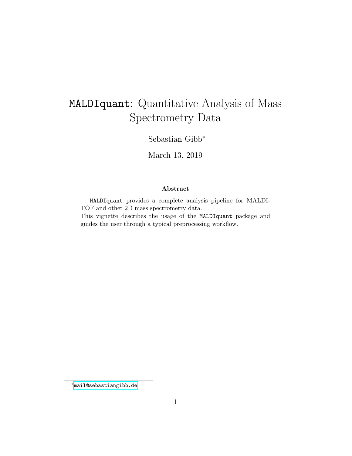# MALDIquant: Quantitative Analysis of Mass Spectrometry Data

Sebastian Gibb<sup>∗</sup>

March 13, 2019

#### Abstract

MALDIquant provides a complete analysis pipeline for MALDI-TOF and other 2D mass spectrometry data. This vignette describes the usage of the MALDIquant package and guides the user through a typical preprocessing workflow.

<sup>∗</sup>[mail@sebastiangibb.de](mailto:mail@sebastiangibb.de)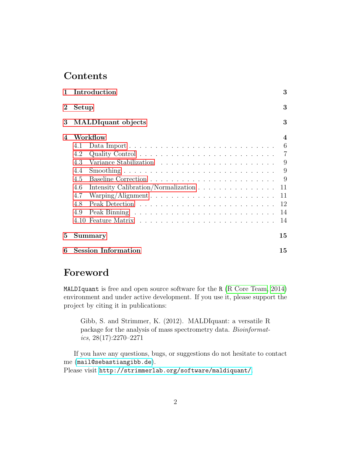# Contents

| $\mathbf{1}$ | Introduction                               | 3              |
|--------------|--------------------------------------------|----------------|
| $\bf{2}$     | Setup                                      | 3              |
|              | 3 MALDIquant objects                       | 3              |
| 4            | Workflow                                   | $\overline{4}$ |
|              | 4.1                                        | 6              |
|              | 4.2                                        | $\overline{7}$ |
|              | 4.3                                        | 9              |
|              | 4.4                                        | 9              |
|              | 4.5                                        | - 9            |
|              | Intensity Calibration/Normalization<br>4.6 | 11             |
|              | 4.7                                        | 11             |
|              | 4.8                                        | 12             |
|              | 4.9                                        | 14             |
|              |                                            | 14             |
| 5            | Summary                                    | 15             |
| 6            | <b>Session Information</b>                 | 15             |

### Foreword

MALDIquant is free and open source software for the R [\(R Core Team, 2014\)](#page-15-0) environment and under active development. If you use it, please support the project by citing it in publications:

Gibb, S. and Strimmer, K. (2012). MALDIquant: a versatile R package for the analysis of mass spectrometry data. Bioinformatics, 28(17):2270–2271

If you have any questions, bugs, or suggestions do not hesitate to contact me ([mail@sebastiangibb.de](mailto:mail@sebastiangibb.de)).

Please visit <http://strimmerlab.org/software/maldiquant/>.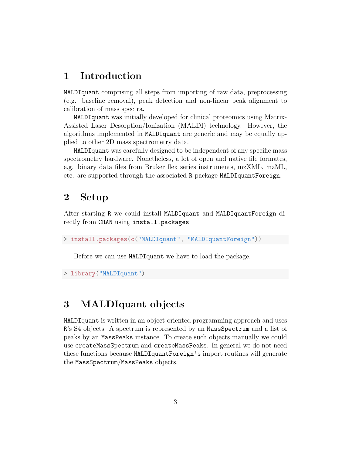### <span id="page-2-0"></span>1 Introduction

MALDIquant comprising all steps from importing of raw data, preprocessing (e.g. baseline removal), peak detection and non-linear peak alignment to calibration of mass spectra.

MALDIquant was initially developed for clinical proteomics using Matrix-Assisted Laser Desorption/Ionization (MALDI) technology. However, the algorithms implemented in MALDIquant are generic and may be equally applied to other 2D mass spectrometry data.

MALDIquant was carefully designed to be independent of any specific mass spectrometry hardware. Nonetheless, a lot of open and native file formates, e.g. binary data files from Bruker flex series instruments, mzXML, mzML, etc. are supported through the associated R package MALDIquantForeign.

# <span id="page-2-1"></span>2 Setup

After starting R we could install MALDIquant and MALDIquantForeign directly from CRAN using install.packages:

```
> install.packages(c("MALDIquant", "MALDIquantForeign"))
```
Before we can use MALDIquant we have to load the package.

```
> library("MALDIquant")
```
### <span id="page-2-2"></span>3 MALDIquant objects

MALDIquant is written in an object-oriented programming approach and uses R's S4 objects. A spectrum is represented by an MassSpectrum and a list of peaks by an MassPeaks instance. To create such objects manually we could use createMassSpectrum and createMassPeaks. In general we do not need these functions because MALDIquantForeign's import routines will generate the MassSpectrum/MassPeaks objects.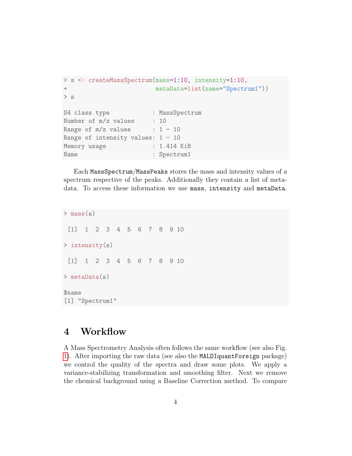```
> s <- createMassSpectrum(mass=1:10, intensity=1:10,
+ metaData=list(name="Spectrum1"))
> s
S4 class type : MassSpectrum
Number of m/z values : 10
Range of m/z values : 1 - 10Range of intensity values: 1 - 10Memory usage : 1.414 KiB
Name : Spectrum1
```
Each MassSpectrum/MassPeaks stores the mass and intensity values of a spectrum respective of the peaks. Additionally they contain a list of metadata. To access these information we use mass, intensity and metaData.

 $>$  mass(s) [1] 1 2 3 4 5 6 7 8 9 10 > intensity(s) [1] 1 2 3 4 5 6 7 8 9 10 > metaData(s) \$name [1] "Spectrum1"

# <span id="page-3-0"></span>4 Workflow

A Mass Spectrometry Analysis often follows the same workflow (see also Fig. [1\)](#page-4-0). After importing the raw data (see also the MALDIquantForeign package) we control the quality of the spectra and draw some plots. We apply a variance-stabilizing transformation and smoothing filter. Next we remove the chemical background using a Baseline Correction method. To compare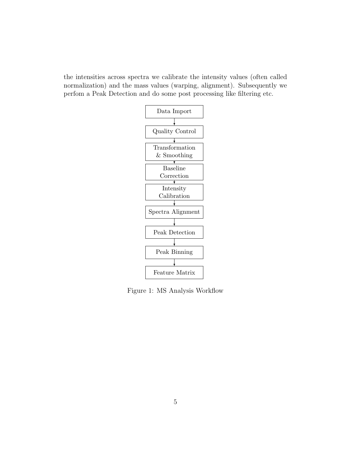the intensities across spectra we calibrate the intensity values (often called normalization) and the mass values (warping, alignment). Subsequently we perfom a Peak Detection and do some post processing like filtering etc.



<span id="page-4-0"></span>Figure 1: MS Analysis Workflow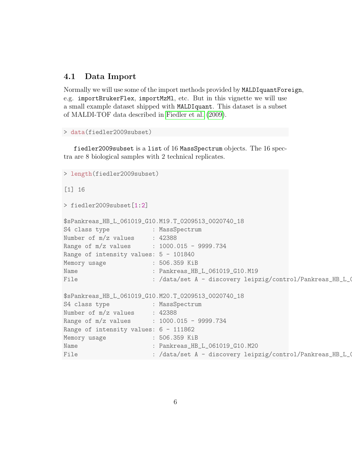#### <span id="page-5-0"></span>4.1 Data Import

Normally we will use some of the import methods provided by MALDIquantForeign, e.g. importBrukerFlex, importMzMl, etc. But in this vignette we will use a small example dataset shipped with MALDIquant. This dataset is a subset of MALDI-TOF data described in [Fiedler et al.](#page-15-1) [\(2009\)](#page-15-1).

```
> data(fiedler2009subset)
```
fiedler2009subset is a list of 16 MassSpectrum objects. The 16 spectra are 8 biological samples with 2 technical replicates.

```
> length(fiedler2009subset)
[1] 16
> fiedler2009subset[1:2]
$sPankreas_HB_L_061019_G10.M19.T_0209513_0020740_18
S4 class type : MassSpectrum
Number of m/z values : 42388
Range of m/z values : 1000.015 - 9999.734
Range of intensity values: 5 - 101840
Memory usage : 506.359 KiB
Name : Pankreas_HB_L_061019_G10.M19
File : /data/set A - discovery leipzig/control/Pankreas_HB_L_061019_G10/0_m19/1/1SLin/fid
$sPankreas_HB_L_061019_G10.M20.T_0209513_0020740_18
S4 class type : MassSpectrum
Number of m/z values : 42388
Range of m/z values : 1000.015 - 9999.734
Range of intensity values: 6 - 111862
Memory usage : 506.359 KiB
Name : Pankreas_HB_L_061019_G10.M20
File : /data/set A - discovery leipzig/control/Pankreas_HB_L_O
```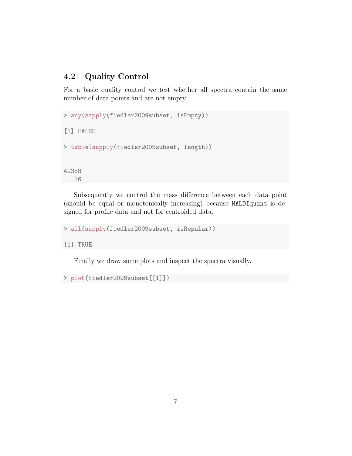#### <span id="page-6-0"></span>4.2 Quality Control

For a basic quality control we test whether all spectra contain the same number of data points and are not empty.

```
> any(sapply(fiedler2009subset, isEmpty))
[1] FALSE
> table(sapply(fiedler2009subset, length))
42388
   16
```
Subsequently we control the mass difference between each data point (should be equal or monotonically increasing) because MALDIquant is designed for profile data and not for centroided data.

```
> all(sapply(fiedler2009subset, isRegular))
```
[1] TRUE

Finally we draw some plots and inspect the spectra visually.

```
> plot(fiedler2009subset[[1]])
```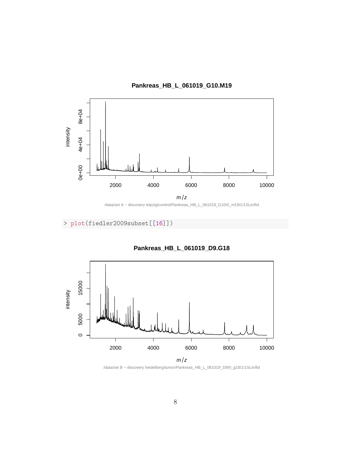

**Pankreas\_HB\_L\_061019\_G10.M19**



> plot(fiedler2009subset[[16]])



**Pankreas\_HB\_L\_061019\_D9.G18**

/data/set B − discovery heidelberg/tumor/Pankreas\_HB\_L\_061019\_D9/0\_g18/1/1SLin/fid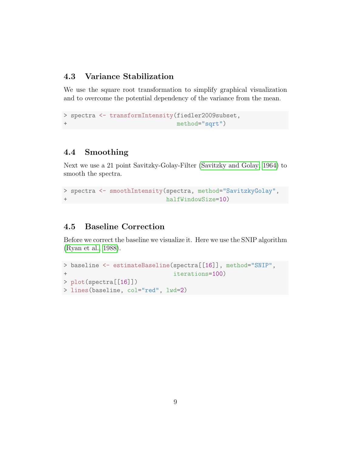#### <span id="page-8-0"></span>4.3 Variance Stabilization

We use the square root transformation to simplify graphical visualization and to overcome the potential dependency of the variance from the mean.

```
> spectra <- transformIntensity(fiedler2009subset,
+ method="sqrt")
```
#### <span id="page-8-1"></span>4.4 Smoothing

Next we use a 21 point Savitzky-Golay-Filter [\(Savitzky and Golay, 1964\)](#page-15-2) to smooth the spectra.

```
> spectra <- smoothIntensity(spectra, method="SavitzkyGolay",
+ halfWindowSize=10)
```
#### <span id="page-8-2"></span>4.5 Baseline Correction

Before we correct the baseline we visualize it. Here we use the SNIP algorithm [\(Ryan et al., 1988\)](#page-15-3).

```
> baseline <- estimateBaseline(spectra[[16]], method="SNIP",
+ iterations=100)
> plot(spectra[[16]])
> lines(baseline, col="red", lwd=2)
```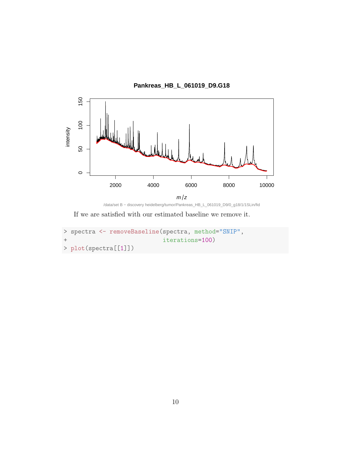

/data/set B − discovery heidelberg/tumor/Pankreas\_HB\_L\_061019\_D9/0\_g18/1/1SLin/fid

If we are satisfied with our estimated baseline we remove it.

```
> spectra <- removeBaseline(spectra, method="SNIP",
+ iterations=100)
> plot(spectra[[1]])
```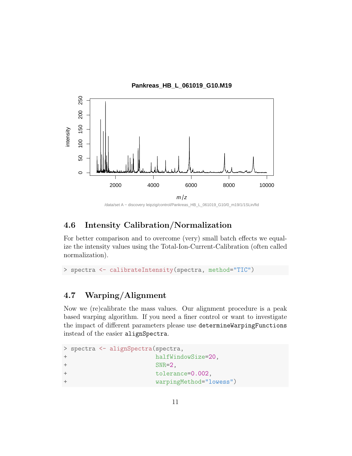

/data/set A − discovery leipzig/control/Pankreas\_HB\_L\_061019\_G10/0\_m19/1/1SLin/fid

#### <span id="page-10-0"></span>4.6 Intensity Calibration/Normalization

For better comparison and to overcome (very) small batch effects we equalize the intensity values using the Total-Ion-Current-Calibration (often called normalization).

```
> spectra <- calibrateIntensity(spectra, method="TIC")
```
### <span id="page-10-1"></span>4.7 Warping/Alignment

Now we (re)calibrate the mass values. Our alignment procedure is a peak based warping algorithm. If you need a finer control or want to investigate the impact of different parameters please use determineWarpingFunctions instead of the easier alignSpectra.

```
> spectra <- alignSpectra(spectra,
+ halfWindowSize=20,
+ SNR=2,
+ tolerance=0.002,
+ warpingMethod="lowess")
```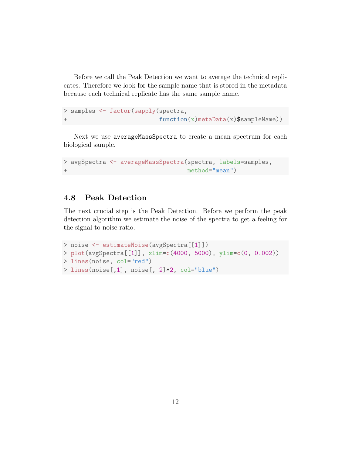Before we call the Peak Detection we want to average the technical replicates. Therefore we look for the sample name that is stored in the metadata because each technical replicate has the same sample name.

```
> samples <- factor(sapply(spectra,
                           function(x)metaData(x)$sampleName))
```
Next we use averageMassSpectra to create a mean spectrum for each biological sample.

```
> avgSpectra <- averageMassSpectra(spectra, labels=samples,
                                   method="mean")
```
#### <span id="page-11-0"></span>4.8 Peak Detection

The next crucial step is the Peak Detection. Before we perform the peak detection algorithm we estimate the noise of the spectra to get a feeling for the signal-to-noise ratio.

```
> noise <- estimateNoise(avgSpectra[[1]])
> plot(avgSpectra[[1]], xlim=c(4000, 5000), ylim=c(0, 0.002))
> lines(noise, col="red")
> lines(noise[,1], noise[, 2]*2, col="blue")
```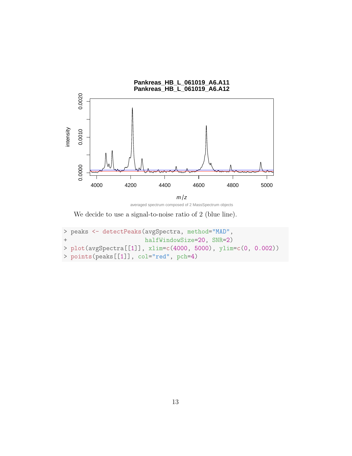

averaged spectrum composed of 2 MassSpectrum objects

We decide to use a signal-to-noise ratio of 2 (blue line).

```
> peaks <- detectPeaks(avgSpectra, method="MAD",
+ halfWindowSize=20, SNR=2)
> plot(avgSpectra[[1]], xlim=c(4000, 5000), ylim=c(0, 0.002))
> points(peaks[[1]], col="red", pch=4)
```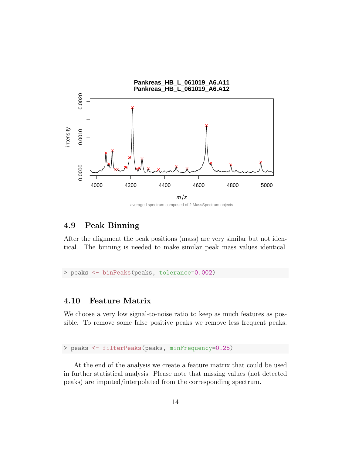

averaged spectrum composed of 2 MassSpectrum objects

#### <span id="page-13-0"></span>4.9 Peak Binning

After the alignment the peak positions (mass) are very similar but not identical. The binning is needed to make similar peak mass values identical.

> peaks <- binPeaks(peaks, tolerance=0.002)

#### <span id="page-13-1"></span>4.10 Feature Matrix

We choose a very low signal-to-noise ratio to keep as much features as possible. To remove some false positive peaks we remove less frequent peaks.

> peaks <- filterPeaks(peaks, minFrequency=0.25)

At the end of the analysis we create a feature matrix that could be used in further statistical analysis. Please note that missing values (not detected peaks) are imputed/interpolated from the corresponding spectrum.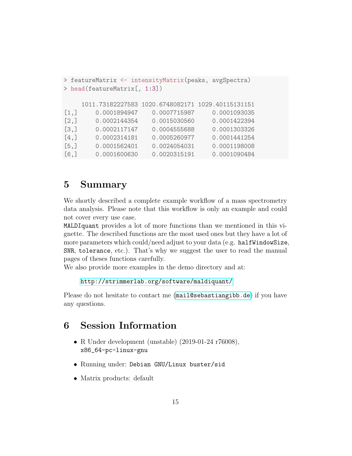```
> featureMatrix <- intensityMatrix(peaks, avgSpectra)
> head(featureMatrix[, 1:3])
    1011.73182227583 1020.6748082171 1029.40115131151
[1,] 0.0001894947 0.0007715987 0.0001093035
[2,] 0.0002144354 0.0015030560 0.0001422394
[3,] 0.0002117147 0.0004555688 0.0001303326
[4,] 0.0002314181 0.0005260977 0.0001441254
[5,] 0.0001562401 0.0024054031 0.0001198008
[6,] 0.0001600630 0.0020315191 0.0001090484
```
### <span id="page-14-0"></span>5 Summary

We shortly described a complete example workflow of a mass spectrometry data analysis. Please note that this workflow is only an example and could not cover every use case.

MALDIquant provides a lot of more functions than we mentioned in this vignette. The described functions are the most used ones but they have a lot of more parameters which could/need adjust to your data (e.g. halfWindowSize, SNR, tolerance, etc.). That's why we suggest the user to read the manual pages of theses functions carefully.

We also provide more examples in the demo directory and at:

```
http://strimmerlab.org/software/maldiquant/
```
Please do not hesitate to contact me ([mail@sebastiangibb.de](mailto:mail@sebastiangibb.de)) if you have any questions.

```
6 Session Information
```
- R Under development (unstable) (2019-01-24 r76008), x86\_64-pc-linux-gnu
- Running under: Debian GNU/Linux buster/sid
- Matrix products: default